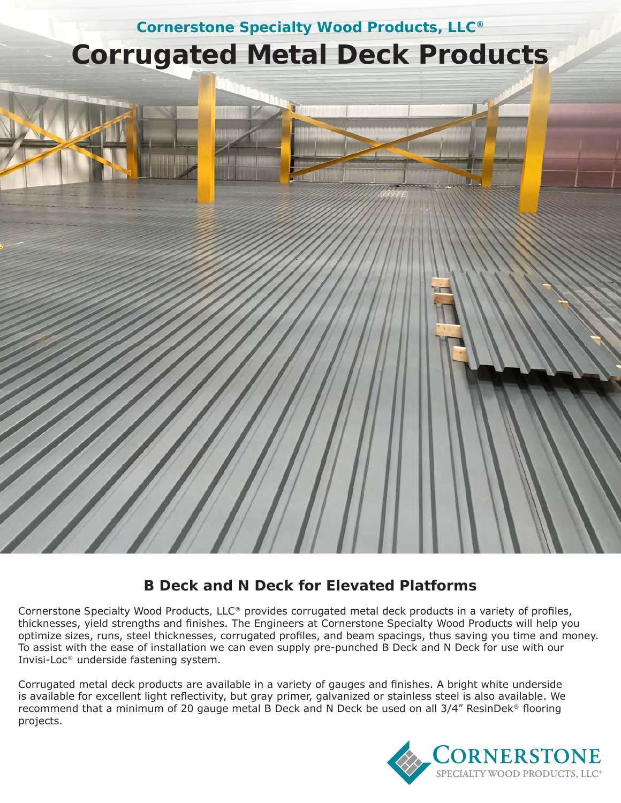

# **B Deck and N Deck for Elevated Platforms**

Cornerstone Specialty Wood Products, LLC® provides corrugated metal deck products in a variety of profiles, thicknesses, yield strengths and finishes. The Engineers at Cornerstone Specialty Wood Products will help you optimize sizes, runs, steel thicknesses, corrugated profiles, and beam spacings, thus saving you time and money. To assist with the ease of installation we can even supply pre-punched B Deck and N Deck for use with our Invisi-Loc® underside fastening system.

Corrugated metal deck products are available in a variety of gauges and finishes. A bright white underside is available for excellent light reflectivity, but gray primer, galvanized or stainless steel is also available. We recommend that a minimum of 20 gauge metal B Deck and N Deck be used on all 3/4" ResinDek® flooring projects.

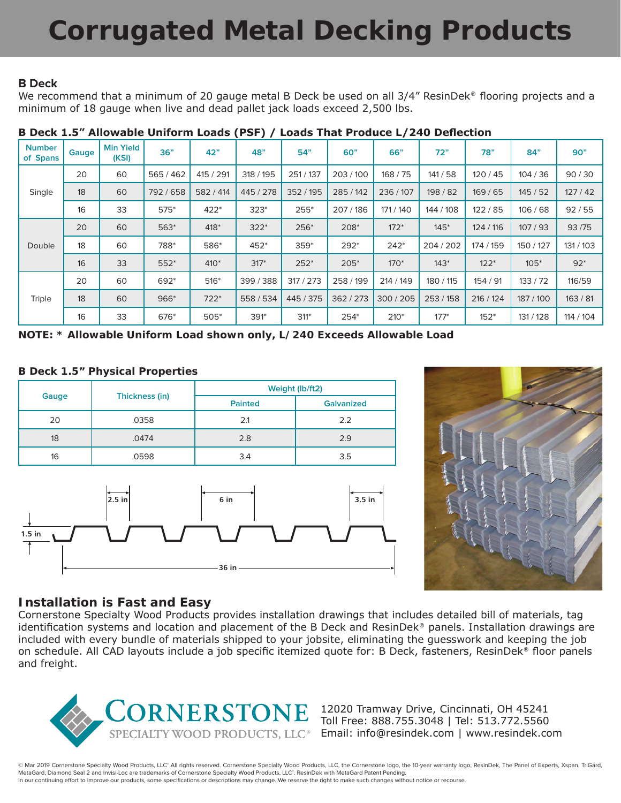# **Corrugated Metal Decking Products**

### **B Deck**

We recommend that a minimum of 20 gauge metal B Deck be used on all 3/4" ResinDek® flooring projects and a minimum of 18 gauge when live and dead pallet jack loads exceed 2,500 lbs.

| <b>Number</b><br>of Spans | Gauge | <b>Min Yield</b><br>(KSI) | 36"       | 42"       | 48"       | 54"       | 60"       | 66"       | 72"       | 78"       | 84"       | 90"       |
|---------------------------|-------|---------------------------|-----------|-----------|-----------|-----------|-----------|-----------|-----------|-----------|-----------|-----------|
| Single                    | 20    | 60                        | 565/462   | 415 / 291 | 318 / 195 | 251/137   | 203/100   | 168 / 75  | 141/58    | 120/45    | 104/36    | 90/30     |
|                           | 18    | 60                        | 792 / 658 | 582 / 414 | 445 / 278 | 352 / 195 | 285 / 142 | 236/107   | 198 / 82  | 169/65    | 145/52    | 127/42    |
|                           | 16    | 33                        | $575*$    | $422*$    | $323*$    | 255*      | 207/186   | 171 / 140 | 144 / 108 | 122/85    | 106/68    | 92/55     |
| Double                    | 20    | 60                        | 563*      | 418*      | $322*$    | 256*      | 208*      | $172*$    | $145*$    | 124 / 116 | 107/93    | 93/75     |
|                           | 18    | 60                        | 788*      | 586*      | 452*      | $359*$    | 292*      | $242*$    | 204/202   | 174 / 159 | 150 / 127 | 131 / 103 |
|                           | 16    | 33                        | $552*$    | $410*$    | $317*$    | $252*$    | $205*$    | $170*$    | $143*$    | $122*$    | $105*$    | $92*$     |
| Triple                    | 20    | 60                        | 692*      | $516*$    | 399/388   | 317/273   | 258 / 199 | 214 / 149 | 180 / 115 | 154 / 91  | 133/72    | 116/59    |
|                           | 18    | 60                        | 966*      | $722*$    | 558 / 534 | 445 / 375 | 362/273   | 300/205   | 253 / 158 | 216 / 124 | 187 / 100 | 163/81    |
|                           | 16    | 33                        | 676*      | $505*$    | 391*      | 311*      | 254*      | $210*$    | $177*$    | $152*$    | 131 / 128 | 114 / 104 |

#### **B Deck 1.5" Allowable Uniform Loads (PSF) / Loads That Produce L/240 Deflection**

*NOTE: \* Allowable Uniform Load shown only, L/240 Exceeds Allowable Load*

### **B Deck 1.5" Physical Properties**

|       |                | Weight (lb/ft2) |                   |  |  |  |
|-------|----------------|-----------------|-------------------|--|--|--|
| Gauge | Thickness (in) | <b>Painted</b>  | <b>Galvanized</b> |  |  |  |
| 20    | .0358          | 2.1             | 2.2               |  |  |  |
| 18    | .0474          | 2.8             | 2.9               |  |  |  |
| 16    | .0598          | 3.4             | 3.5               |  |  |  |





# **Installation is Fast and Easy**

Cornerstone Specialty Wood Products provides installation drawings that includes detailed bill of materials, tag identification systems and location and placement of the B Deck and ResinDek® panels. Installation drawings are included with every bundle of materials shipped to your jobsite, eliminating the guesswork and keeping the job on schedule. All CAD layouts include a job specific itemized quote for: B Deck, fasteners, ResinDek® floor panels and freight.



12020 Tramway Drive, Cincinnati, OH 45241 Toll Free: 888.755.3048 | Tel: 513.772.5560 Email: info@resindek.com | www.resindek.com